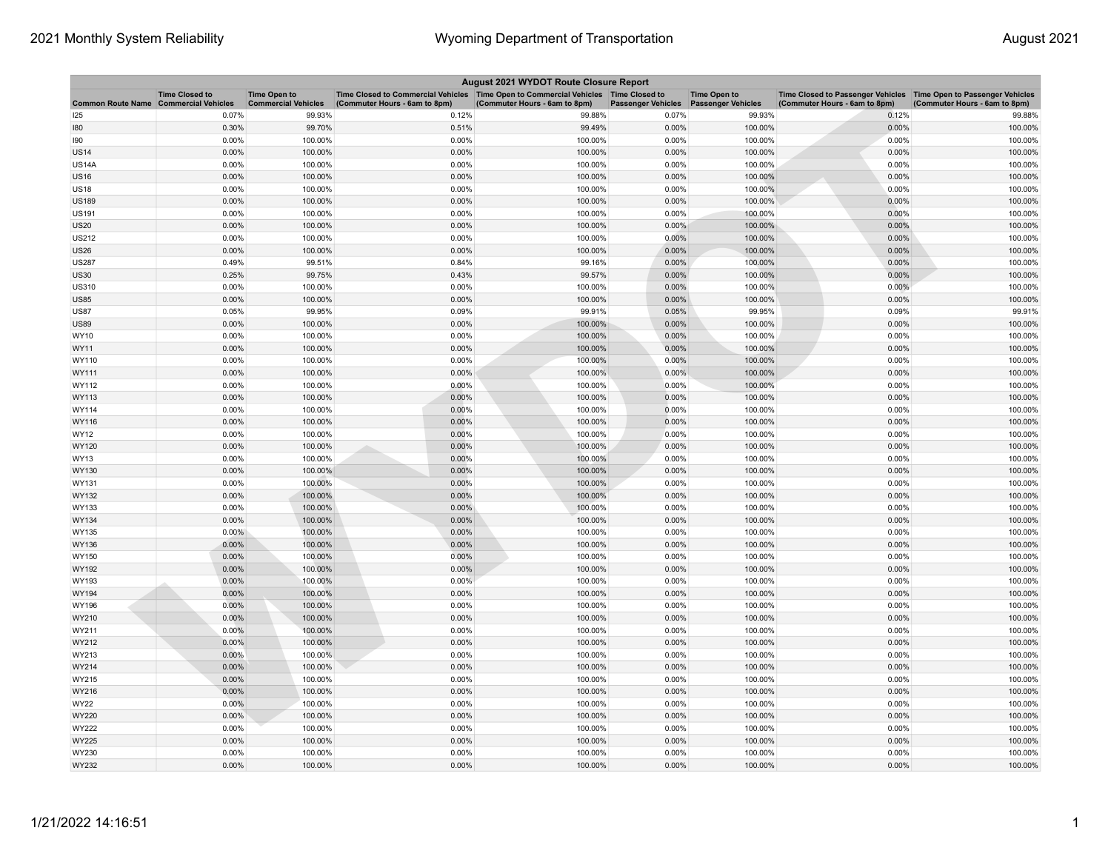| August 2021 WYDOT Route Closure Report |                                                     |                                                   |                                                                                                                       |                               |                           |                                                  |                                                                                                      |                               |  |
|----------------------------------------|-----------------------------------------------------|---------------------------------------------------|-----------------------------------------------------------------------------------------------------------------------|-------------------------------|---------------------------|--------------------------------------------------|------------------------------------------------------------------------------------------------------|-------------------------------|--|
| <b>Common Route Name</b>               | <b>Time Closed to</b><br><b>Commercial Vehicles</b> | <b>Time Open to</b><br><b>Commercial Vehicles</b> | Time Closed to Commercial Vehicles  Time Open to Commercial Vehicles  Time Closed to<br>(Commuter Hours - 6am to 8pm) | (Commuter Hours - 6am to 8pm) | <b>Passenger Vehicles</b> | <b>Time Open to</b><br><b>Passenger Vehicles</b> | Time Closed to Passenger Vehicles   Time Open to Passenger Vehicles<br>(Commuter Hours - 6am to 8pm) | (Commuter Hours - 6am to 8pm) |  |
| 125                                    | 0.07%                                               | 99.93%                                            | 0.12%                                                                                                                 | 99.88%                        | 0.07%                     | 99.93%                                           | 0.12%                                                                                                | 99.88%                        |  |
| 180                                    | 0.30%                                               | 99.70%                                            | 0.51%                                                                                                                 | 99.49%                        | 0.00%                     | 100.00%                                          | 0.00%                                                                                                | 100.00%                       |  |
| 90                                     | 0.00%                                               | 100.00%                                           | 0.00%                                                                                                                 | 100.00%                       | 0.00%                     | 100.00%                                          | 0.00%                                                                                                | 100.00%                       |  |
| <b>JS14</b>                            | 0.00%                                               | 100.00%                                           | 0.00%                                                                                                                 | 100.00%                       | 0.00%                     | 100.00%                                          | 0.00%                                                                                                | 100.00%                       |  |
| US14A                                  | 0.00%                                               | 100.00%                                           | 0.00%                                                                                                                 | 100.00%                       | 0.00%                     | 100.00%                                          | 0.00%                                                                                                | 100.00%                       |  |
| <b>JS16</b>                            | 0.00%                                               | 100.00%                                           | 0.00%                                                                                                                 | 100.00%                       | 0.00%                     | 100.00%                                          | 0.00%                                                                                                | 100.00%                       |  |
| <b>JS18</b>                            | 0.00%                                               | 100.00%                                           | 0.00%                                                                                                                 | 100.00%                       | 0.00%                     | 100.00%                                          | 0.00%                                                                                                | 100.00%                       |  |
| US189                                  | 0.00%                                               | 100.00%                                           | 0.00%                                                                                                                 | 100.00%                       | 0.00%                     | 100.00%                                          | 0.00%                                                                                                | 100.00%                       |  |
| US191                                  | 0.00%                                               | 100.00%                                           | 0.00%                                                                                                                 | 100.00%                       | 0.00%                     | 100.00%                                          | 0.00%                                                                                                | 100.00%                       |  |
| <b>JS20</b>                            | 0.00%                                               | 100.00%                                           | 0.00%                                                                                                                 | 100.00%                       | 0.00%                     | 100.00%                                          | 0.00%                                                                                                | 100.00%                       |  |
| <b>US212</b>                           | 0.00%                                               | 100.00%                                           | 0.00%                                                                                                                 | 100.00%                       | 0.00%                     | 100.00%                                          | 0.00%                                                                                                | 100.00%                       |  |
| <b>JS26</b>                            | 0.00%                                               | 100.00%                                           | 0.00%                                                                                                                 | 100.00%                       | 0.00%                     | 100.00%                                          | 0.00%                                                                                                | 100.00%                       |  |
| <b>JS287</b>                           | 0.49%                                               | 99.51%                                            | 0.84%                                                                                                                 | 99.16%                        | 0.00%                     | 100.00%                                          | 0.00%                                                                                                | 100.00%                       |  |
| <b>JS30</b>                            | 0.25%                                               | 99.75%                                            | 0.43%                                                                                                                 | 99.57%                        | 0.00%                     | 100.00%                                          | 0.00%                                                                                                | 100.00%                       |  |
| US310                                  | 0.00%                                               | 100.00%                                           | 0.00%                                                                                                                 | 100.00%                       | 0.00%                     | 100.00%                                          | 0.00%                                                                                                | 100.00%                       |  |
| <b>US85</b>                            | 0.00%                                               | 100.00%                                           | 0.00%                                                                                                                 | 100.00%                       | 0.00%                     | 100.00%                                          | 0.00%                                                                                                | 100.00%                       |  |
| <b>JS87</b>                            | 0.05%                                               | 99.95%                                            | 0.09%                                                                                                                 | 99.91%                        | 0.05%                     | 99.95%                                           | 0.09%                                                                                                | 99.91%                        |  |
| <b>JS89</b>                            | 0.00%                                               | 100.00%                                           | 0.00%                                                                                                                 | 100.00%                       | 0.00%                     | 100.00%                                          | 0.00%                                                                                                | 100.00%                       |  |
| WY10                                   | 0.00%                                               | 100.00%                                           | 0.00%                                                                                                                 | 100.00%                       | 0.00%                     | 100.00%                                          | 0.00%                                                                                                | 100.00%                       |  |
| WY11                                   | 0.00%                                               | 100.00%                                           | 0.00%                                                                                                                 | 100.00%                       | 0.00%                     | 100.00%                                          | 0.00%                                                                                                | 100.00%                       |  |
| WY110                                  | 0.00%                                               | 100.00%                                           | 0.00%                                                                                                                 | 100.00%                       | 0.00%                     | 100.00%                                          | 0.00%                                                                                                | 100.00%                       |  |
| WY111                                  | 0.00%                                               | 100.00%                                           | 0.00%                                                                                                                 | 100.00%                       | 0.00%                     | 100.00%                                          | 0.00%                                                                                                | 100.00%                       |  |
| WY112                                  | 0.00%                                               | 100.00%                                           | 0.00%                                                                                                                 | 100.00%                       | 0.00%                     | 100.00%                                          | 0.00%                                                                                                | 100.00%                       |  |
| WY113                                  | $0.00\%$                                            | 100.00%                                           | 0.00%                                                                                                                 | 100.00%                       | 0.00%                     | 100.00%                                          | 0.00%                                                                                                | 100.00%                       |  |
| WY114                                  | 0.00%                                               | 100.00%                                           | 0.00%                                                                                                                 | 100.00%                       | 0.00%                     | 100.00%                                          | 0.00%                                                                                                | 100.00%                       |  |
| WY116                                  | 0.00%                                               | 100.00%                                           | 0.00%                                                                                                                 | 100.00%                       | 0.00%                     | 100.00%                                          | 0.00%                                                                                                | 100.00%                       |  |
| WY12                                   | 0.00%                                               | 100.00%                                           | 0.00%                                                                                                                 | 100.00%                       | 0.00%                     | 100.00%                                          | 0.00%                                                                                                | 100.00%                       |  |
| WY120                                  | 0.00%                                               | 100.00%                                           | 0.00%                                                                                                                 | 100.00%                       | 0.00%                     | 100.00%                                          | 0.00%                                                                                                | 100.00%                       |  |
| WY13                                   | 0.00%                                               | 100.00%                                           | 0.00%                                                                                                                 | 100.00%                       | 0.00%                     | 100.00%                                          | 0.00%                                                                                                | 100.00%                       |  |
| WY130                                  | 0.00%                                               | 100.00%                                           | 0.00%                                                                                                                 | 100.00%                       | 0.00%                     | 100.00%                                          | 0.00%                                                                                                | 100.00%                       |  |
| WY131                                  | 0.00%                                               | 100.00%                                           | 0.00%                                                                                                                 | 100.00%                       | 0.00%                     | 100.00%                                          | 0.00%                                                                                                | 100.00%                       |  |
| WY132                                  | 0.00%                                               | 100.00%                                           | 0.00%                                                                                                                 | 100.00%                       | 0.00%                     | 100.00%                                          | 0.00%                                                                                                | 100.00%                       |  |
| WY133                                  | 0.00%                                               | 100.00%                                           | 0.00%                                                                                                                 | 100.00%                       | 0.00%                     | 100.00%                                          | 0.00%                                                                                                | 100.00%                       |  |
| WY134                                  | 0.00%                                               | 100.00%                                           | 0.00%                                                                                                                 | 100.00%                       | 0.00%                     | 100.00%                                          | 0.00%                                                                                                | 100.00%                       |  |
| WY135                                  | $0.00\%$                                            | 100.00%                                           | 0.00%                                                                                                                 | 100.00%                       | 0.00%                     | 100.00%                                          | 0.00%                                                                                                | 100.00%                       |  |
| WY136                                  | 0.00%                                               | 100.00%                                           | 0.00%                                                                                                                 | 100.00%                       | 0.00%                     | 100.00%                                          | 0.00%                                                                                                | 100.00%                       |  |
| WY150                                  | 0.00%                                               | 100.00%                                           | 0.00%                                                                                                                 | 100.00%                       | 0.00%                     | 100.00%                                          | 0.00%                                                                                                | 100.00%                       |  |
| WY192                                  | 0.00%                                               | 100.00%                                           | 0.00%                                                                                                                 | 100.00%                       | 0.00%                     | 100.00%                                          | 0.00%                                                                                                | 100.00%                       |  |
| WY193                                  | 0.00%                                               | 100.00%                                           | 0.00%                                                                                                                 | 100.00%                       | 0.00%                     | 100.00%                                          | 0.00%                                                                                                | 100.00%                       |  |
| WY194                                  | 0.00%                                               | 100.00%                                           | 0.00%                                                                                                                 | 100.00%                       | 0.00%                     | 100.00%                                          | 0.00%                                                                                                | 100.00%                       |  |
| WY196                                  | 0.00%                                               | 100.00%                                           | 0.00%                                                                                                                 | 100.00%                       | 0.00%                     | 100.00%                                          | 0.00%                                                                                                | 100.00%                       |  |
| WY210                                  | 0.00%                                               | 100.00%                                           | 0.00%                                                                                                                 | 100.00%                       | 0.00%                     | 100.00%                                          | 0.00%                                                                                                | 100.00%                       |  |
| WY211                                  | 0.00%                                               | 100.00%                                           | 0.00%                                                                                                                 | 100.00%                       | 0.00%                     | 100.00%                                          | 0.00%                                                                                                | 100.00%                       |  |
| WY212                                  | 0.00%                                               | 100.00%                                           | 0.00%                                                                                                                 | 100.00%                       | 0.00%                     | 100.00%                                          | 0.00%                                                                                                | 100.00%                       |  |
| WY213                                  | 0.00%                                               | 100.00%                                           | 0.00%                                                                                                                 | 100.00%                       | 0.00%                     | 100.00%                                          | 0.00%                                                                                                | 100.00%                       |  |
| WY214                                  | 0.00%                                               | 100.00%                                           | 0.00%                                                                                                                 | 100.00%                       | 0.00%                     | 100.00%                                          | 0.00%                                                                                                | 100.00%                       |  |
| WY215                                  | 0.00%                                               | 100.00%                                           | 0.00%                                                                                                                 | 100.00%                       | 0.00%                     | 100.00%                                          | 0.00%                                                                                                | 100.00%                       |  |
| WY216                                  | 0.00%                                               | 100.00%                                           | 0.00%                                                                                                                 | 100.00%                       | 0.00%                     | 100.00%                                          | 0.00%                                                                                                | 100.00%                       |  |
| WY22                                   | 0.00%                                               | 100.00%                                           | 0.00%                                                                                                                 | 100.00%                       | 0.00%                     | 100.00%                                          | 0.00%                                                                                                | 100.00%                       |  |
| WY220                                  | 0.00%                                               | 100.00%                                           | 0.00%                                                                                                                 | 100.00%                       | 0.00%                     | 100.00%                                          | 0.00%                                                                                                | 100.00%                       |  |
| WY222                                  | 0.00%                                               | 100.00%                                           | 0.00%                                                                                                                 | 100.00%                       | 0.00%                     | 100.00%                                          | 0.00%                                                                                                | 100.00%                       |  |
| WY225                                  | 0.00%                                               | 100.00%                                           | 0.00%                                                                                                                 | 100.00%                       | 0.00%                     | 100.00%                                          | 0.00%                                                                                                | 100.00%                       |  |
| WY230                                  | 0.00%                                               | 100.00%                                           | 0.00%                                                                                                                 | 100.00%                       | 0.00%                     | 100.00%                                          | 0.00%                                                                                                | 100.00%                       |  |
| WY232                                  | 0.00%                                               | 100.00%                                           | 0.00%                                                                                                                 | 100.00%                       | 0.00%                     | 100.00%                                          | 0.00%                                                                                                | 100.00%                       |  |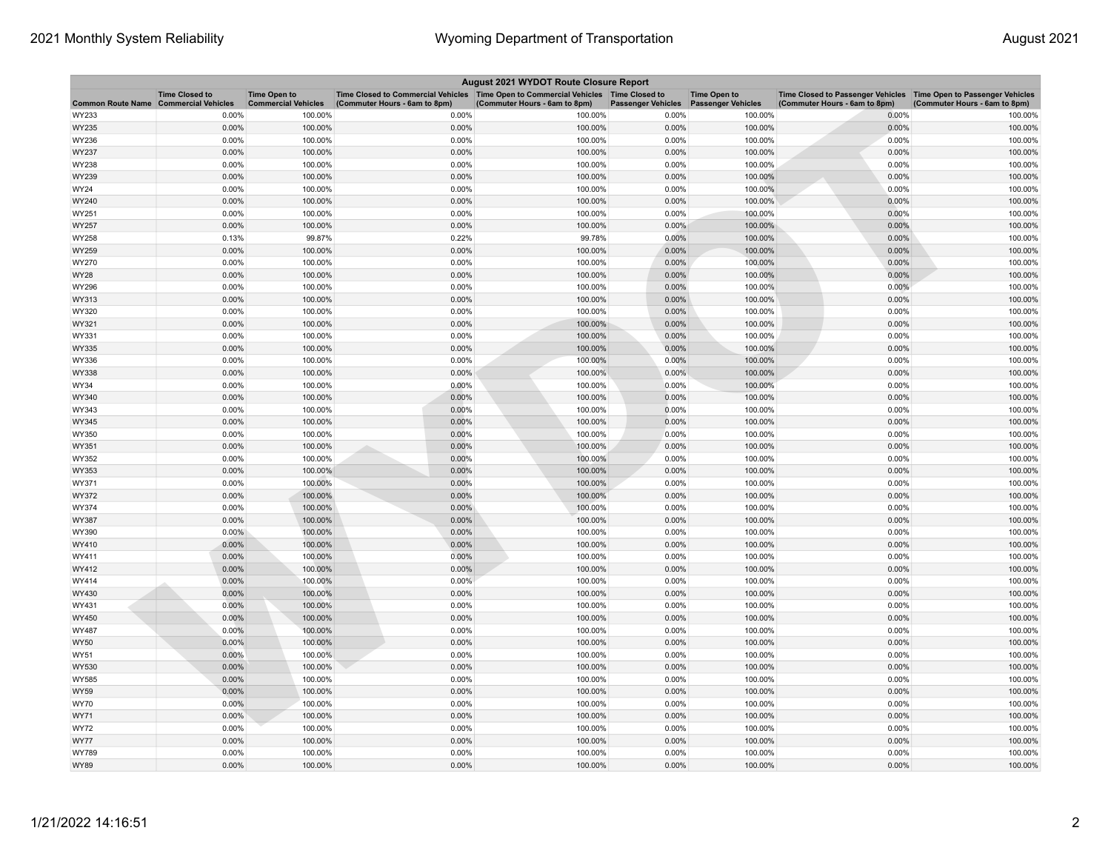| August 2021 WYDOT Route Closure Report |                                                     |                                                   |                                                                                                                         |                               |                           |                                                  |                                                                                                      |                               |  |
|----------------------------------------|-----------------------------------------------------|---------------------------------------------------|-------------------------------------------------------------------------------------------------------------------------|-------------------------------|---------------------------|--------------------------------------------------|------------------------------------------------------------------------------------------------------|-------------------------------|--|
| <b>Common Route Name</b>               | <b>Time Closed to</b><br><b>Commercial Vehicles</b> | <b>Time Open to</b><br><b>Commercial Vehicles</b> | Time Closed to Commercial Vehicles   Time Open to Commercial Vehicles   Time Closed to<br>(Commuter Hours - 6am to 8pm) | (Commuter Hours - 6am to 8pm) | <b>Passenger Vehicles</b> | <b>Time Open to</b><br><b>Passenger Vehicles</b> | Time Closed to Passenger Vehicles   Time Open to Passenger Vehicles<br>(Commuter Hours - 6am to 8pm) | (Commuter Hours - 6am to 8pm) |  |
| WY233                                  | 0.00%                                               | 100.00%                                           | 0.00%                                                                                                                   | 100.00%                       | 0.00%                     | 100.00%                                          | 0.00%                                                                                                | 100.00%                       |  |
| WY235                                  | 0.00%                                               | 100.00%                                           | 0.00%                                                                                                                   | 100.00%                       | 0.00%                     | 100.00%                                          | 0.00%                                                                                                | 100.00%                       |  |
| WY236                                  | 0.00%                                               | 100.00%                                           | 0.00%                                                                                                                   | 100.00%                       | 0.00%                     | 100.00%                                          | 0.00%                                                                                                | 100.00%                       |  |
| WY237                                  | 0.00%                                               | 100.00%                                           | 0.00%                                                                                                                   | 100.00%                       | 0.00%                     | 100.00%                                          | 0.00%                                                                                                | 100.00%                       |  |
| WY238                                  | 0.00%                                               | 100.00%                                           | 0.00%                                                                                                                   | 100.00%                       | 0.00%                     | 100.00%                                          | 0.00%                                                                                                | 100.00%                       |  |
| WY239                                  | 0.00%                                               | 100.00%                                           | 0.00%                                                                                                                   | 100.00%                       | 0.00%                     | 100.00%                                          | 0.00%                                                                                                | 100.00%                       |  |
| WY24                                   | 0.00%                                               | 100.00%                                           | 0.00%                                                                                                                   | 100.00%                       | 0.00%                     | 100.00%                                          | 0.00%                                                                                                | 100.00%                       |  |
| WY240                                  | 0.00%                                               | 100.00%                                           | 0.00%                                                                                                                   | 100.00%                       | 0.00%                     | 100.00%                                          | 0.00%                                                                                                | 100.00%                       |  |
| WY251                                  | 0.00%                                               | 100.00%                                           | 0.00%                                                                                                                   | 100.00%                       | 0.00%                     | 100.00%                                          | 0.00%                                                                                                | 100.00%                       |  |
| WY257                                  | 0.00%                                               | 100.00%                                           | 0.00%                                                                                                                   | 100.00%                       | 0.00%                     | 100.00%                                          | 0.00%                                                                                                | 100.00%                       |  |
| WY258                                  | 0.13%                                               | 99.87%                                            | 0.22%                                                                                                                   | 99.78%                        | 0.00%                     | 100.00%                                          | 0.00%                                                                                                | 100.00%                       |  |
| WY259                                  | 0.00%                                               | 100.00%                                           | 0.00%                                                                                                                   | 100.00%                       | 0.00%                     | 100.00%                                          | 0.00%                                                                                                | 100.00%                       |  |
| WY270                                  | 0.00%                                               | 100.00%                                           | 0.00%                                                                                                                   | 100.00%                       | 0.00%                     | 100.00%                                          | 0.00%                                                                                                | 100.00%                       |  |
| WY28                                   | 0.00%                                               | 100.00%                                           | 0.00%                                                                                                                   | 100.00%                       | 0.00%                     | 100.00%                                          | 0.00%                                                                                                | 100.00%                       |  |
| WY296                                  | 0.00%                                               | 100.00%                                           | 0.00%                                                                                                                   | 100.00%                       | 0.00%                     | 100.00%                                          | 0.00%                                                                                                | 100.00%                       |  |
| WY313                                  | 0.00%                                               | 100.00%                                           | 0.00%                                                                                                                   | 100.00%                       | 0.00%                     | 100.00%                                          | 0.00%                                                                                                | 100.00%                       |  |
| WY320                                  | 0.00%                                               | 100.00%                                           | 0.00%                                                                                                                   | 100.00%                       | 0.00%                     | 100.00%                                          | 0.00%                                                                                                | 100.00%                       |  |
| WY321                                  | 0.00%                                               | 100.00%                                           | 0.00%                                                                                                                   | 100.00%                       | 0.00%                     | 100.00%                                          | 0.00%                                                                                                | 100.00%                       |  |
| WY331                                  | 0.00%                                               | 100.00%                                           | 0.00%                                                                                                                   | 100.00%                       | 0.00%                     | 100.00%                                          | 0.00%                                                                                                | 100.00%                       |  |
| WY335                                  | 0.00%                                               | 100.00%                                           | 0.00%                                                                                                                   | 100.00%                       | 0.00%                     | 100.00%                                          | 0.00%                                                                                                | 100.00%                       |  |
| WY336                                  | 0.00%                                               | 100.00%                                           | 0.00%                                                                                                                   | 100.00%                       | 0.00%                     | 100.00%                                          | 0.00%                                                                                                | 100.00%                       |  |
| WY338                                  | 0.00%                                               | 100.00%                                           | 0.00%                                                                                                                   | 100.00%                       | 0.00%                     | 100.00%                                          | 0.00%                                                                                                | 100.00%                       |  |
| WY34                                   | 0.00%                                               | 100.00%                                           | 0.00%                                                                                                                   | 100.00%                       | 0.00%                     | 100.00%                                          | 0.00%                                                                                                | 100.00%                       |  |
| WY340                                  | 0.00%                                               | 100.00%                                           | 0.00%                                                                                                                   | 100.00%                       | 0.00%                     | 100.00%                                          | 0.00%                                                                                                | 100.00%                       |  |
| WY343                                  | 0.00%                                               | 100.00%                                           | 0.00%                                                                                                                   | 100.00%                       | 0.00%                     | 100.00%                                          | 0.00%                                                                                                | 100.00%                       |  |
| WY345                                  | 0.00%                                               | 100.00%                                           | 0.00%                                                                                                                   | 100.00%                       | 0.00%                     | 100.00%                                          | 0.00%                                                                                                | 100.00%                       |  |
| WY350                                  | 0.00%                                               | 100.00%                                           | 0.00%                                                                                                                   | 100.00%                       | 0.00%                     | 100.00%                                          | 0.00%                                                                                                | 100.00%                       |  |
| WY351                                  | 0.00%                                               | 100.00%                                           | 0.00%                                                                                                                   | 100.00%                       | 0.00%                     | 100.00%                                          | 0.00%                                                                                                | 100.00%                       |  |
| WY352                                  | 0.00%                                               | 100.00%                                           | 0.00%                                                                                                                   | 100.00%                       | 0.00%                     | 100.00%                                          | 0.00%                                                                                                | 100.00%                       |  |
| WY353                                  | 0.00%                                               | 100.00%                                           | 0.00%                                                                                                                   | 100.00%                       | 0.00%                     | 100.00%                                          | 0.00%                                                                                                | 100.00%                       |  |
| WY371                                  | 0.00%                                               | 100.00%                                           | 0.00%                                                                                                                   | 100.00%                       | 0.00%                     | 100.00%                                          | 0.00%                                                                                                | 100.00%                       |  |
| WY372                                  | 0.00%                                               | 100.00%                                           | 0.00%                                                                                                                   | 100.00%                       | 0.00%                     | 100.00%                                          | 0.00%                                                                                                | 100.00%                       |  |
| WY374                                  | 0.00%                                               | 100.00%                                           | 0.00%                                                                                                                   | 100.00%                       | 0.00%                     | 100.00%                                          | 0.00%                                                                                                | 100.00%                       |  |
| WY387                                  | 0.00%                                               | 100.00%                                           | 0.00%                                                                                                                   | 100.00%                       | 0.00%                     | 100.00%                                          | 0.00%                                                                                                | 100.00%                       |  |
| WY390                                  | $0.00\%$                                            | 100.00%                                           | 0.00%                                                                                                                   | 100.00%                       | 0.00%                     | 100.00%                                          | 0.00%                                                                                                | 100.00%                       |  |
| WY410                                  | 0.00%                                               | 100.00%                                           | 0.00%                                                                                                                   | 100.00%                       | 0.00%                     | 100.00%                                          | 0.00%                                                                                                | 100.00%                       |  |
| WY411                                  | 0.00%                                               | 100.00%                                           | 0.00%                                                                                                                   | 100.00%                       | 0.00%                     | 100.00%                                          | 0.00%                                                                                                | 100.00%                       |  |
| WY412                                  | 0.00%                                               | 100.00%                                           | 0.00%                                                                                                                   | 100.00%                       | 0.00%                     | 100.00%                                          | 0.00%                                                                                                | 100.00%                       |  |
| WY414                                  | 0.00%                                               | 100.00%                                           | 0.00%                                                                                                                   | 100.00%                       | 0.00%                     | 100.00%                                          | 0.00%                                                                                                | 100.00%                       |  |
| WY430                                  | 0.00%                                               | 100.00%                                           | 0.00%                                                                                                                   | 100.00%                       | 0.00%                     | 100.00%                                          | 0.00%                                                                                                | 100.00%                       |  |
| WY431                                  | 0.00%                                               | 100.00%                                           | 0.00%                                                                                                                   | 100.00%                       | 0.00%                     | 100.00%                                          | 0.00%                                                                                                | 100.00%                       |  |
| WY450                                  | 0.00%                                               | 100.00%                                           | 0.00%                                                                                                                   | 100.00%                       | 0.00%                     | 100.00%                                          | 0.00%                                                                                                | 100.00%                       |  |
| WY487                                  | 0.00%                                               | 100.00%                                           | 0.00%                                                                                                                   | 100.00%                       | 0.00%                     | 100.00%                                          | 0.00%                                                                                                | 100.00%                       |  |
| WY50                                   | 0.00%                                               | 100.00%                                           | 0.00%                                                                                                                   | 100.00%                       | 0.00%                     | 100.00%                                          | 0.00%                                                                                                | 100.00%                       |  |
| WY51                                   | 0.00%                                               | 100.00%                                           | 0.00%                                                                                                                   | 100.00%                       | 0.00%                     | 100.00%                                          | 0.00%                                                                                                | 100.00%                       |  |
| WY530                                  | 0.00%                                               | 100.00%                                           | 0.00%                                                                                                                   | 100.00%                       | 0.00%                     | 100.00%                                          | 0.00%                                                                                                | 100.00%                       |  |
| WY585                                  | 0.00%                                               | 100.00%                                           | 0.00%                                                                                                                   | 100.00%                       | 0.00%                     | 100.00%                                          | 0.00%                                                                                                | 100.00%                       |  |
| WY59                                   | 0.00%                                               | 100.00%                                           | 0.00%                                                                                                                   | 100.00%                       | 0.00%                     | 100.00%                                          | 0.00%                                                                                                | 100.00%                       |  |
| WY70                                   | 0.00%                                               | 100.00%                                           | 0.00%                                                                                                                   | 100.00%                       | 0.00%                     | 100.00%                                          | 0.00%                                                                                                | 100.00%                       |  |
| WY71                                   | 0.00%                                               | 100.00%                                           | 0.00%                                                                                                                   | 100.00%                       | 0.00%                     | 100.00%                                          | 0.00%                                                                                                | 100.00%                       |  |
| WY72                                   | 0.00%                                               | 100.00%                                           | 0.00%                                                                                                                   | 100.00%                       | 0.00%                     | 100.00%                                          | 0.00%                                                                                                | 100.00%                       |  |
| <b>WY77</b>                            | 0.00%                                               | 100.00%                                           | 0.00%                                                                                                                   | 100.00%                       | 0.00%                     | 100.00%                                          | 0.00%                                                                                                | 100.00%                       |  |
| WY789                                  | 0.00%                                               | 100.00%                                           | 0.00%                                                                                                                   | 100.00%                       | 0.00%                     | 100.00%                                          | 0.00%                                                                                                | 100.00%                       |  |
| WY89                                   | 0.00%                                               | 100.00%                                           | 0.00%                                                                                                                   | 100.00%                       | 0.00%                     | 100.00%                                          | 0.00%                                                                                                | 100.00%                       |  |